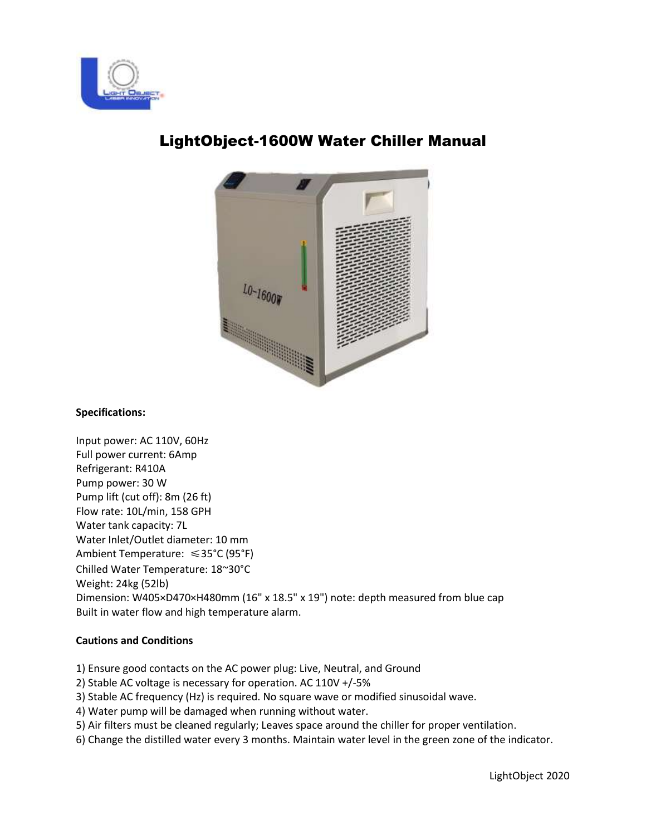



# LightObject-1600W Water Chiller Manual

## **Specifications:**

Input power: AC 110V, 60Hz Full power current: 6Amp Refrigerant: R410A Pump power: 30 W Pump lift (cut off): 8m (26 ft) Flow rate: 10L/min, 158 GPH Water tank capacity: 7L Water Inlet/Outlet diameter: 10 mm Ambient Temperature: ≤35°C (95°F) Chilled Water Temperature: 18~30°C Weight: 24kg (52lb) Dimension: W405×D470×H480mm (16" x 18.5" x 19") note: depth measured from blue cap Built in water flow and high temperature alarm.

### **Cautions and Conditions**

- 1) Ensure good contacts on the AC power plug: Live, Neutral, and Ground
- 2) Stable AC voltage is necessary for operation. AC 110V +/-5%
- 3) Stable AC frequency (Hz) is required. No square wave or modified sinusoidal wave.
- 4) Water pump will be damaged when running without water.
- 5) Air filters must be cleaned regularly; Leaves space around the chiller for proper ventilation.
- 6) Change the distilled water every 3 months. Maintain water level in the green zone of the indicator.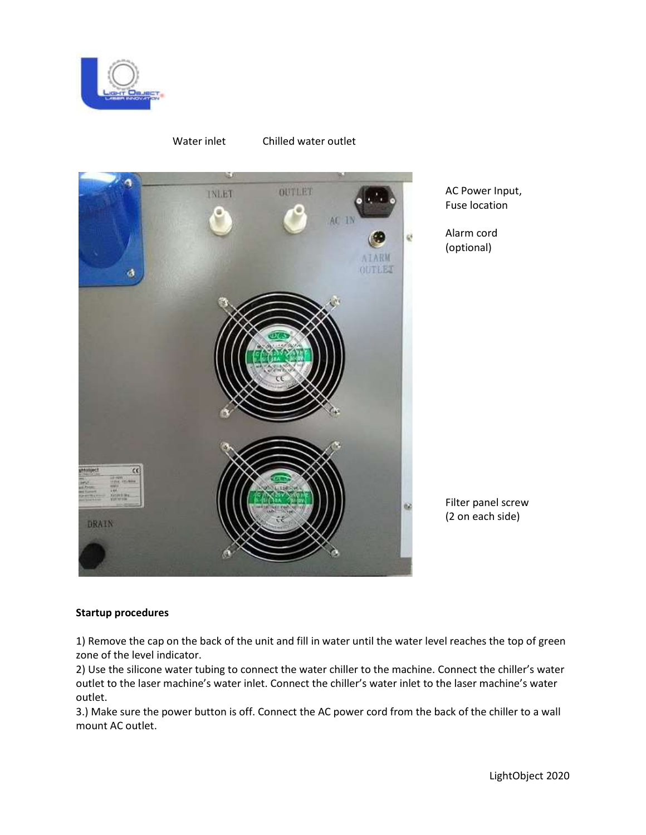

Water inlet Chilled water outlet



AC Power Input, Fuse location

Alarm cord (optional)

Filter panel screw (2 on each side)

### **Startup procedures**

1) Remove the cap on the back of the unit and fill in water until the water level reaches the top of green zone of the level indicator.

2) Use the silicone water tubing to connect the water chiller to the machine. Connect the chiller's water outlet to the laser machine's water inlet. Connect the chiller's water inlet to the laser machine's water outlet.

3.) Make sure the power button is off. Connect the AC power cord from the back of the chiller to a wall mount AC outlet.